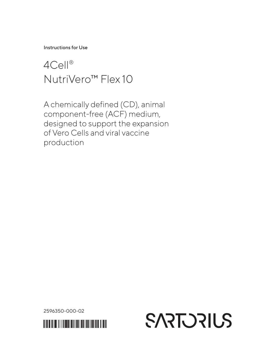Instructions for Use

# 4Cell® NutriVero™ Flex 10

A chemically defined (CD), animal component-free (ACF) medium, designed to support the expansion of Vero Cells and viral vaccine production

2596350-000-02



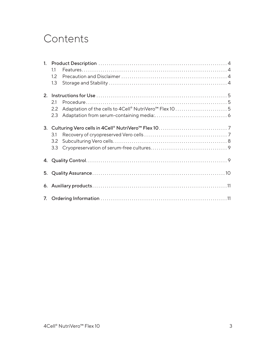## **Contents**

|    | 11  |                                                                   |  |  |
|----|-----|-------------------------------------------------------------------|--|--|
|    | 1.2 |                                                                   |  |  |
|    | 1.3 |                                                                   |  |  |
|    |     |                                                                   |  |  |
|    | 21  |                                                                   |  |  |
|    | 2.2 | Adaptation of the cells to 4Cell® NutriVero <sup>™</sup> Flex 105 |  |  |
|    | 2.3 |                                                                   |  |  |
|    |     |                                                                   |  |  |
|    | 3.1 |                                                                   |  |  |
|    | 3.2 |                                                                   |  |  |
|    | 3.3 |                                                                   |  |  |
|    |     |                                                                   |  |  |
| 5. |     |                                                                   |  |  |
|    |     |                                                                   |  |  |
|    |     |                                                                   |  |  |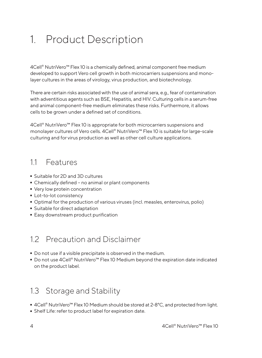# 1. Product Description

4Cell® NutriVero™ Flex 10 is a chemically defined, animal component free medium developed to support Vero cell growth in both microcarriers suspensions and monolayer cultures in the areas of virology, virus production, and biotechnology.

There are certain risks associated with the use of animal sera, e.g., fear of contamination with adventitious agents such as BSE, Hepatitis, and HIV. Culturing cells in a serum-free and animal component-free medium eliminates these risks. Furthermore, it allows cells to be grown under a defined set of conditions.

4Cell® NutriVero™ Flex 10 is appropriate for both microcarriers suspensions and monolayer cultures of Vero cells. 4Cell® NutriVero™ Flex 10 is suitable for large-scale culturing and for virus production as well as other cell culture applications.

### 11 Features

- 
- Suitable for 2D and 3D cultures<br>■ Chemically defined no animal ■ Chemically defined – no animal or plant components<br>■ Very low protein concentration
- Very low protein concentration<br>• Lot-to-lot consistency
- 
- Lot-to-lot consistency<br>■ Optimal for the produ - Optimal for the production of various viruses (incl. measles, enterovirus, polio)
- 
- Suitable for direct adaptation  $\overline{\phantom{a}}$  Easy downstream product purification<br>

## 12 Precaution and Disclaimer

- 
- Do not use if a visible precipitate is observed in the medium.<br>■ Do not use 4Cell® NutriVero™ Flex 10 Medium beyond the e ■ Do not use 4Cell® NutriVero™ Flex 10 Medium beyond the expiration date indicated<br>on the product label. on the product label.

## 1.3 Storage and Stability

- 4Cell® NutriVero<sup>™</sup> Flex 10 Medium should be stored at 2-8°C, and protected from light.
- Shelf Life: refer to product label for expiration date.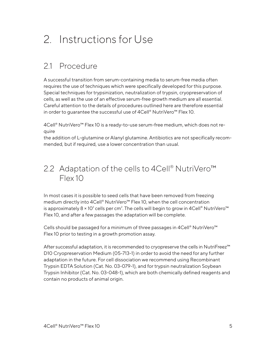# 2. Instructions for Use

## 21 Procedure

A successful transition from serum-containing media to serum-free media often requires the use of techniques which were specifically developed for this purpose. Special techniques for trypsinization, neutralization of trypsin, cryopreservation of cells, as well as the use of an effective serum-free growth medium are all essential. Careful attention to the details of procedures outlined here are therefore essential in order to guarantee the successful use of 4Cell® NutriVero™ Flex 10.

4Cell® NutriVero™ Flex 10 is a ready-to-use serum-free medium, which does not require

the addition of L-glutamine or Alanyl glutamine. Antibiotics are not specifically recommended, but if required, use a lower concentration than usual.

## 2.2 Adaptation of the cells to 4Cell® NutriVero<sup>™</sup> Flex 10

In most cases it is possible to seed cells that have been removed from freezing medium directly into 4Cell® NutriVero™ Flex 10, when the cell concentration is approximately 8 × 10 $^{\circ}$  cells per cm². The cells will begin to grow in 4Cell® NutriVero™ Flex 10, and after a few passages the adaptation will be complete.

Cells should be passaged for a minimum of three passages in 4Cell® NutriVero™ Flex 10 prior to testing in a growth promotion assay.

After successful adaptation, it is recommended to cryopreserve the cells in NutriFreez™ D10 Cryopreservation Medium (05-713-1) in order to avoid the need for any further adaptation in the future. For cell dissociation we recommend using Recombinant Trypsin EDTA Solution (Cat. No. 03-079-1), and for trypsin neutralization Soybean Trypsin Inhibitor (Cat. No. 03-048-1), which are both chemically defined reagents and contain no products of animal origin.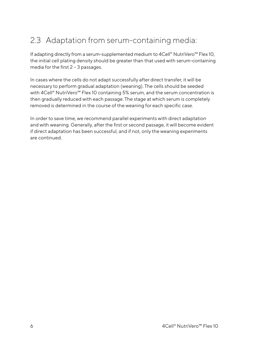## 2.3 Adaptation from serum-containing media:

If adapting directly from a serum-supplemented medium to 4Cell® NutriVero™ Flex 10, the initial cell plating density should be greater than that used with serum-containing media for the first 2 – 3 passages.

In cases where the cells do not adapt successfully after direct transfer, it will be necessary to perform gradual adaptation (weaning). The cells should be seeded with 4Cell® NutriVero™ Flex 10 containing 5% serum, and the serum concentration is then gradually reduced with each passage. The stage at which serum is completely removed is determined in the course of the weaning for each specific case.

In order to save time, we recommend parallel experiments with direct adaptation and with weaning. Generally, after the first or second passage, it will become evident if direct adaptation has been successful, and if not, only the weaning experiments are continued.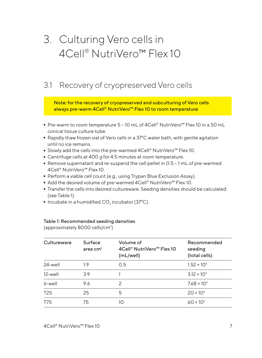# 3. Culturing Vero cells in 4Cell® NutriVero<sup>™</sup> Flex 10

## 3.1 Recovery of cryopreserved Vero cells

Note: for the recovery of cryopreserved and subculturing of Vero cells always pre-warm 4Cell® NutriVero<sup>™</sup> Flex 10 to room temperature

- Pre-warm to room temperature 5 10 mL of 4Cell® NutriVero<sup>m</sup> Flex 10 in a 50 mL conical tissue culture tube.
- Rapidly thaw frozen vial of Vero cells in a 37°C water bath, with gentle agitation until no ice remains.
- Slowly add the cells into the pre-warmed 4Cell® NutriVero™ Flex 10.<br>■ Centrifuge cells at 400 g for 4.5 minutes at room temperature.
- 
- Centrifuge cells at 400 *g* for 4.5 minutes at room temperature.<br>■ Remove supernatant and re-suspend the cell pellet in 0.5 <mark>-</mark> 1 m ■ Remove supernatant and re-suspend the cell pellet in 0.5 – 1 mL of pre-warmed  $4 \text{Cell}^{\circ}$  NutriVero™ Flex 10. 4Cell® NutriVero™ Flex 10.
- Perform a viable cell count (e.g., using Trypan Blue Exclusion Assay).<br>■ Add the desired volume of pre-warmed 4Cell® NutriVero™ Flex 10.
- 
- Add the desired volume of pre-warmed 4Cell® NutriVero™ Flex 10.<br>■ Transfer the cells into desired cultureware. Seeding densities shou  $\blacksquare$  Transfer the cells into desired cultureware. Seeding densities should be calculated<br>(see Table 1). (see Table 1).
- $\blacksquare$  Incubate in a humidified CO<sub>2</sub> incubator (37 $^{\circ}$ C).

#### Table 1: Recommended seeding densities

(approximately 8000 cells/cm<sup>2</sup>)

| Cultureware     | Surface<br>area $cm2$ | Volume of<br>4Cell® NutriVero™ Flex 10<br>(mL/well) | Recommended<br>seeding<br>(total cells) |
|-----------------|-----------------------|-----------------------------------------------------|-----------------------------------------|
| 24-well         | 1.9                   | 0.5                                                 | $1.52 \times 10^{4}$                    |
| 12-well         | 3.9                   |                                                     | $3.12 \times 10^{4}$                    |
| 6-well          | 9.6                   | $\mathcal{P}$                                       | $7.68 \times 10^{4}$                    |
| T <sub>25</sub> | 25                    | 5                                                   | $20 \times 10^{4}$                      |
| T75             | 75                    | 10                                                  | $60 \times 10^{4}$                      |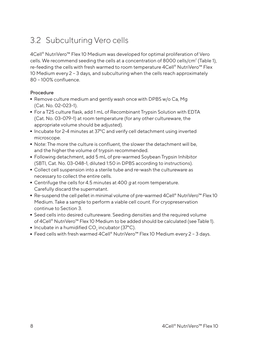## 3.2 Subculturing Vero cells

4Cell® NutriVero™ Flex 10 Medium was developed for optimal proliferation of Vero cells. We recommend seeding the cells at a concentration of 8000 cells/cm<sup>2</sup> (Table 1), re-feeding the cells with fresh warmed to room temperature 4Cell® NutriVero™ Flex 10 Medium every 2 – 3 days, and subculturing when the cells reach approximately 80 – 100% confluence.

#### Procedure

- Remove culture medium and gently wash once with DPBS w/o Ca, Mg<br>(Cat. No. 02-023-1).<br>- For a T25 culture flask, add 1 mL of Recombinant Trypsin Solution with EDTA (Cat. No. 02-023-1).
- For a T25 culture flask, add 1 mL of Recombinant Trypsin Solution with EDTA (Cat. No. 03-079-1) at room temperature (for any other cultureware, the appropriate volume should be adjusted).
- Incubate for 2-4 minutes at 37°C and verify cell detachment using inverted microscope.
- Note: The more the culture is confluent, the slower the detachment will be, and the higher the volume of trypsin recommended.
- Following detachment, add 5 mL of pre-warmed Soybean Trypsin Inhibitor (SBTI, Cat. No. 03-048-1, diluted 1:50 in DPBS according to instructions).
- Collect cell suspension into a sterile tube and re-wash the cultureware as necessary to collect the entire cells.
- Centrifuge the cells for 4.5 minutes at 400 *g* at room temperature. Carefully discard the supernatant.
- Re-suspend the cell pellet in minimal volume of pre-warmed 4Cell® NutriVero<sup>™</sup> Flex 10 Medium. Take a sample to perform a viable cell count. For cryopreservation continue to Section 3.
- Seed cells into desired cultureware. Seeding densities and the required volume of 4Cell® NutriVero™ Flex 10 Medium to be added should be calculated (see Table 1).
- 
- Incubate in a humidified CO<sub>2</sub> incubator (37°C).<br>- Feed cells with fresh warmed 4Cell® NutriVero - Feed cells with fresh warmed 4Cell® NutriVero™ Flex 10 Medium every 2 – 3 days.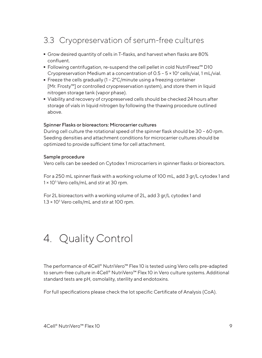## 3.3 Cryopreservation of serum-free cultures

- Grow desired quantity of cells in T-flasks, and harvest when flasks are 80% confluent.
- Following centrifugation, re-suspend the cell pellet in cold NutriFreez™ D10 Cryopreservation Medium at a concentration of 0.5 5 × 106 cells/vial, 1 mL/vial.
- Freeze the cells gradually  $(1 2^{\circ}C/m$  inute using a freezing container [Mr. Frosty™] or controlled cryopreservation system), and store them in liquid nitrogen storage tank (vapor phase).
- Viability and recovery of cryopreserved cells should be checked 24 hours after storage of vials in liquid nitrogen by following the thawing procedure outlined above.

#### Spinner Flasks or bioreactors: Microcarrier cultures

During cell culture the rotational speed of the spinner flask should be 30 – 60 rpm. Seeding densities and attachment conditions for microcarrier cultures should be optimized to provide sufficient time for cell attachment.

#### Sample procedure

Vero cells can be seeded on Cytodex 1 microcarriers in spinner flasks or bioreactors.

For a 250 mL spinner flask with a working volume of 100 mL, add 3 gr/L cytodex 1 and 1 × 10<sup>5</sup> Vero cells/mL and stir at 30 rpm.

For 2L bioreactors with a working volume of 2L, add 3 gr/L cytodex 1 and 1.3 × 105 Vero cells/mL and stir at 100 rpm.

## 4. Quality Control

The performance of 4Cell® NutriVero™ Flex 10 is tested using Vero cells pre-adapted to serum-free culture in 4Cell® NutriVero™ Flex 10 in Vero culture systems. Additional standard tests are pH, osmolality, sterility and endotoxins.

For full specifications please check the lot specific Certificate of Analysis (CoA).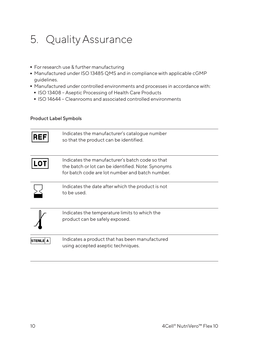# 5. Quality Assurance

- 
- For research use & further manufacturing<br>■ Manufactured under ISO 13485 QMS and - Manufactured under ISO 13485 QMS and in compliance with applicable cGMP guidelines.
- Manufactured under controlled environments and processes in accordance with:
	- ISO 13408 Aseptic Processing of Health Care Products
	- ISO 14644 Cleanrooms and associated controlled environments

#### Product Label Symbols

| <b>REF</b>       | Indicates the manufacturer's catalogue number<br>so that the product can be identified.                                                                  |
|------------------|----------------------------------------------------------------------------------------------------------------------------------------------------------|
|                  | Indicates the manufacturer's batch code so that<br>the batch or lot can be identified. Note: Synonyms<br>for batch code are lot number and batch number. |
|                  | Indicates the date after which the product is not<br>to be used.                                                                                         |
|                  | Indicates the temperature limits to which the<br>product can be safely exposed.                                                                          |
| <b>STERILE A</b> | Indicates a product that has been manufactured<br>using accepted aseptic techniques.                                                                     |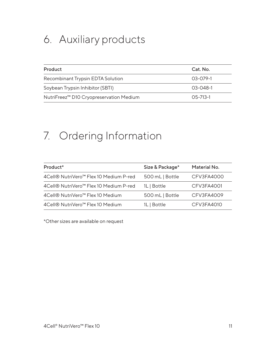# 6. Auxiliary products

| Product                                             | Cat. No.         |
|-----------------------------------------------------|------------------|
| Recombinant Trypsin EDTA Solution                   | $0.3 - 0.79 - 1$ |
| Soybean Trypsin Inhibitor (SBTI)                    | 03-048-1         |
| NutriFreez <sup>™</sup> D10 Cryopreservation Medium | $0.5 - 71.3 - 1$ |

# 7. Ordering Information

| Product <sup>*</sup>                                | Size & Package* | Material No. |
|-----------------------------------------------------|-----------------|--------------|
| 4 Cell® NutriVero <sup>™</sup> Flex 10 Medium P-red | 500 mL   Bottle | CFV3FA4000   |
| 4 Cell® NutriVero <sup>™</sup> Flex 10 Medium P-red | 1L   Bottle     | CFV3FA4001   |
| 4Cell® NutriVero <sup>™</sup> Flex 10 Medium        | 500 mL   Bottle | CFV3FA4009   |
| 4 Cell® NutriVero <sup>™</sup> Flex 10 Medium       | 1L   Bottle     | CFV3FA4010   |

\*Other sizes are available on request